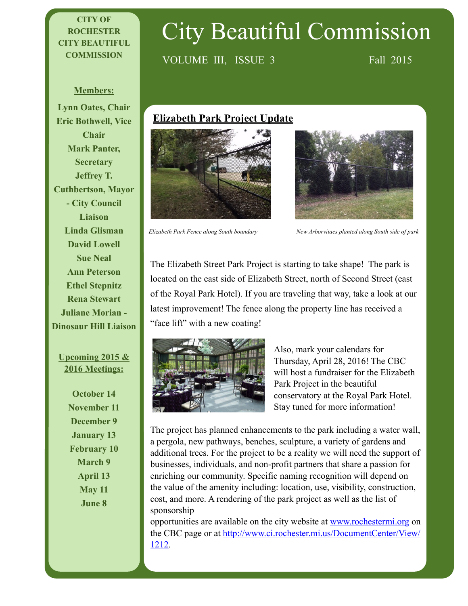## **CITY OF ROCHESTER CITY BEAUTIFUL COMMISSION**

# City Beautiful Commission

VOLUME III, ISSUE 3 Fall 2015

#### **Members:**

**Lynn Oates, Chair Eric Bothwell, Vice Chair Mark Panter, Secretary Jeffrey T. Cuthbertson, Mayor - City Council Liaison Linda Glisman David Lowell Sue Neal Ann Peterson Ethel Stepnitz Rena Stewart Juliane Morian - Dinosaur Hill Liaison** 

#### **Upcoming 2015 & 2016 Meetings:**

**October 14 November 11 December 9 January 13 February 10 March 9 April 13 May 11 June 8** 

# **Elizabeth Park Project Update**





*Elizabeth Park Fence along South boundary New Arborvitaes planted along South side of park*

The Elizabeth Street Park Project is starting to take shape! The park is located on the east side of Elizabeth Street, north of Second Street (east of the Royal Park Hotel). If you are traveling that way, take a look at our latest improvement! The fence along the property line has received a "face lift" with a new coating!



Also, mark your calendars for Thursday, April 28, 2016! The CBC will host a fundraiser for the Elizabeth Park Project in the beautiful conservatory at the Royal Park Hotel. Stay tuned for more information!

The project has planned enhancements to the park including a water wall, a pergola, new pathways, benches, sculpture, a variety of gardens and additional trees. For the project to be a reality we will need the support of businesses, individuals, and non-profit partners that share a passion for enriching our community. Specific naming recognition will depend on the value of the amenity including: location, use, visibility, construction, cost, and more. A rendering of the park project as well as the list of sponsorship

opportunities are available on the city website at [www.rochestermi.org](http://www.rochestermi.org) on [the CBC page or at http://www.ci.rochester.mi.us/DocumentCenter/View/](http://www.ci.rochester.mi.us/DocumentCenter/View/1212) 1212.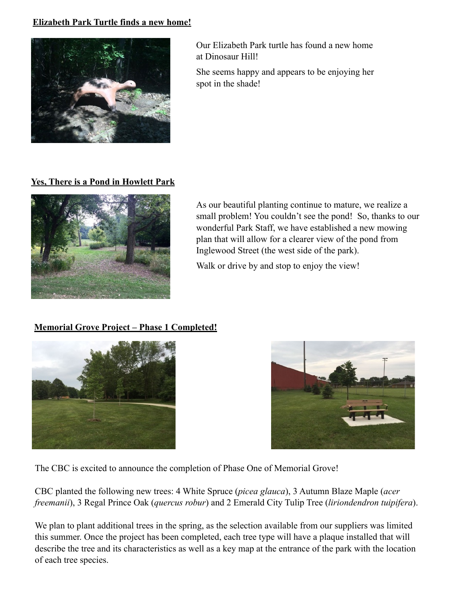### **Elizabeth Park Turtle finds a new home!**



Our Elizabeth Park turtle has found a new home at Dinosaur Hill!

She seems happy and appears to be enjoying her spot in the shade!

**Yes, There is a Pond in Howlett Park**



As our beautiful planting continue to mature, we realize a small problem! You couldn't see the pond! So, thanks to our wonderful Park Staff, we have established a new mowing plan that will allow for a clearer view of the pond from Inglewood Street (the west side of the park).

Walk or drive by and stop to enjoy the view!

# **Memorial Grove Project – Phase 1 Completed!**





The CBC is excited to announce the completion of Phase One of Memorial Grove!

CBC planted the following new trees: 4 White Spruce (*picea glauca*), 3 Autumn Blaze Maple (*acer freemanii*), 3 Regal Prince Oak (*quercus robur*) and 2 Emerald City Tulip Tree (*liriondendron tuipifera*).

We plan to plant additional trees in the spring, as the selection available from our suppliers was limited this summer. Once the project has been completed, each tree type will have a plaque installed that will describe the tree and its characteristics as well as a key map at the entrance of the park with the location of each tree species.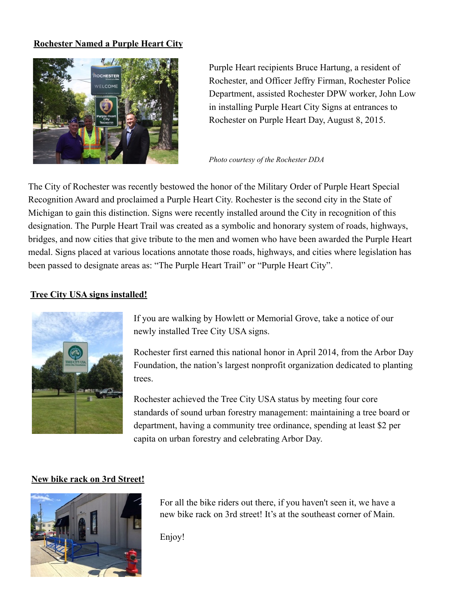#### **Rochester Named a Purple Heart City**



Purple Heart recipients Bruce Hartung, a resident of Rochester, and Officer Jeffry Firman, Rochester Police Department, assisted Rochester DPW worker, John Low in installing Purple Heart City Signs at entrances to Rochester on Purple Heart Day, August 8, 2015.

*Photo courtesy of the Rochester DDA* 

The City of Rochester was recently bestowed the honor of the Military Order of Purple Heart Special Recognition Award and proclaimed a Purple Heart City. Rochester is the second city in the State of Michigan to gain this distinction. Signs were recently installed around the City in recognition of this designation. The Purple Heart Trail was created as a symbolic and honorary system of roads, highways, bridges, and now cities that give tribute to the men and women who have been awarded the Purple Heart medal. Signs placed at various locations annotate those roads, highways, and cities where legislation has been passed to designate areas as: "The Purple Heart Trail" or "Purple Heart City".

#### **Tree City USA signs installed!**



If you are walking by Howlett or Memorial Grove, take a notice of our newly installed Tree City USA signs.

Rochester first earned this national honor in April 2014, from the Arbor Day Foundation, the nation's largest nonprofit organization dedicated to planting trees.

Rochester achieved the Tree City USA status by meeting four core standards of sound urban forestry management: maintaining a tree board or department, having a community tree ordinance, spending at least \$2 per capita on urban forestry and celebrating Arbor Day.

#### **New bike rack on 3rd Street!**



For all the bike riders out there, if you haven't seen it, we have a new bike rack on 3rd street! It's at the southeast corner of Main.

Enjoy!